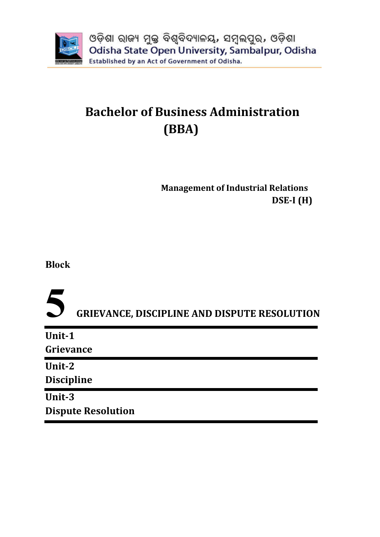

# **Bachelor of Business Administration (BBA)**

 **Management of Industrial Relations DSE-I (H)**

**Block**

**5 GRIEVANCE, DISCIPLINE AND DISPUTE RESOLUTION**

| Unit-1                    |  |
|---------------------------|--|
| Grievance                 |  |
| Unit-2                    |  |
| <b>Discipline</b>         |  |
| Unit-3                    |  |
| <b>Dispute Resolution</b> |  |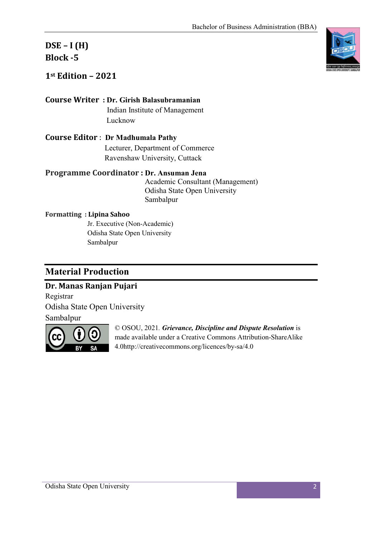### **DSE – I (H) Block -5**

**1st Edition – 2021** 

#### **Course Writer : Dr. Girish Balasubramanian**

**Indian Institute of Management** Lucknow

**Course Editor** : **Dr Madhumala Pathy** Lecturer, Department of Commerce Ravenshaw University, Cuttack

#### **Programme Coordinator : Dr. Ansuman Jena**

 Academic Consultant (Management) Odisha State Open University Sambalpur

#### **Formatting : Lipina Sahoo**

 Jr. Executive (Non-Academic) Odisha State Open University Sambalpur

### **Material Production**

#### **Dr. Manas Ranjan Pujari**

Registrar Odisha State Open University

Sambalpur



© OSOU, 2021*. Grievance, Discipline and Dispute Resolution* is made available under a Creative Commons Attribution-ShareAlike 4.0http://creativecommons.org/licences/by-sa/4.0

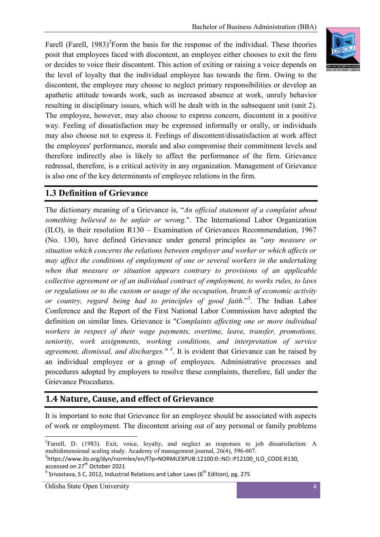Farell (Farell,  $1983$ )<sup>2</sup>Form the basis for the response of the individual. These theories posit that employees faced with discontent, an employee either chooses to exit the firm or decides to voice their discontent. This action of exiting or raising a voice depends on the level of loyalty that the individual employee has towards the firm. Owing to the discontent, the employee may choose to neglect primary responsibilities or develop an apathetic attitude towards work, such as increased absence at work, unruly behavior resulting in disciplinary issues, which will be dealt with in the subsequent unit (unit 2). The employee, however, may also choose to express concern, discontent in a positive way. Feeling of dissatisfaction may be expressed informally or orally, or individuals may also choose not to express it. Feelings of discontent/dissatisfaction at work affect the employees' performance, morale and also compromise their commitment levels and therefore indirectly also is likely to affect the performance of the firm. Grievance redressal, therefore, is a critical activity in any organization. Management of Grievance is also one of the key determinants of employee relations in the firm.

#### **1.3 Definition of Grievance**

The dictionary meaning of a Grievance is, "*An official statement of a complaint about something believed to be unfair or wrong.*". The International Labor Organization (ILO), in their resolution R130 – Examination of Grievances Recommendation, 1967 (No. 130), have defined Grievance under general principles as "*any measure or situation which concerns the relations between employer and worker or which affects or may affect the conditions of employment of one or several workers in the undertaking when that measure or situation appears contrary to provisions of an applicable collective agreement or of an individual contract of employment, to works rules, to laws or regulations or to the custom or usage of the occupation, branch of economic activity or country, regard being had to principles of good faith*."3 . The Indian Labor Conference and the Report of the First National Labor Commission have adopted the definition on similar lines. Grievance is "*Complaints affecting one or more individual workers in respect of their wage payments, overtime, leave, transfer, promotions, seniority, work assignments, working conditions, and interpretation of service agreement, dismissal, and discharges." <sup>4</sup>* . It is evident that Grievance can be raised by an individual employee or a group of employees. Administrative processes and procedures adopted by employers to resolve these complaints, therefore, fall under the Grievance Procedures.

#### **1.4 Nature, Cause, and effect of Grievance**

It is important to note that Grievance for an employee should be associated with aspects of work or employment. The discontent arising out of any personal or family problems

 $\frac{1}{2}$ <sup>2</sup>Farrell, D. (1983). Exit, voice, loyalty, and neglect as responses to job dissatisfaction: A multidimensional scaling study. Academy of management journal, 26(4), 596-607.

https://www.ilo.org/dyn/normlex/en/f?p=NORMLEXPUB:12100:0::NO::P12100\_ILO\_CODE:R130, accessed on 27<sup>th</sup> October 2021<br><sup>4</sup> Srivastava, S C, 2012, Industrial Relations and Labor Laws (6<sup>th</sup> Edition), pg. 275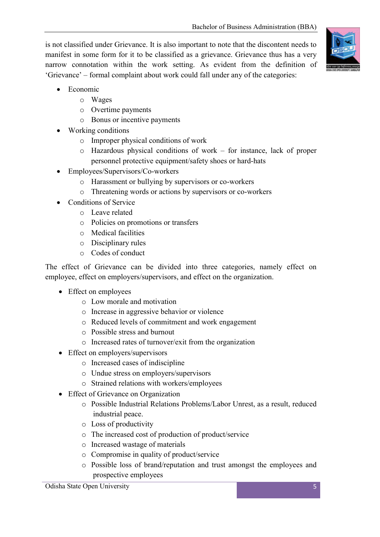is not classified under Grievance. It is also important to note that the discontent needs to manifest in some form for it to be classified as a grievance. Grievance thus has a very narrow connotation within the work setting. As evident from the definition of 'Grievance' – formal complaint about work could fall under any of the categories:



- Economic
	- o Wages
	- o Overtime payments
	- o Bonus or incentive payments
- Working conditions
	- o Improper physical conditions of work
	- o Hazardous physical conditions of work for instance, lack of proper personnel protective equipment/safety shoes or hard-hats
- Employees/Supervisors/Co-workers
	- o Harassment or bullying by supervisors or co-workers
	- o Threatening words or actions by supervisors or co-workers
- Conditions of Service
	- o Leave related
	- o Policies on promotions or transfers
	- o Medical facilities
	- o Disciplinary rules
	- o Codes of conduct

The effect of Grievance can be divided into three categories, namely effect on employee, effect on employers/supervisors, and effect on the organization.

- Effect on employees
	- o Low morale and motivation
	- o Increase in aggressive behavior or violence
	- o Reduced levels of commitment and work engagement
	- o Possible stress and burnout
	- o Increased rates of turnover/exit from the organization
- Effect on employers/supervisors
	- o Increased cases of indiscipline
	- o Undue stress on employers/supervisors
	- o Strained relations with workers/employees
- Effect of Grievance on Organization
	- o Possible Industrial Relations Problems/Labor Unrest, as a result, reduced industrial peace.
	- o Loss of productivity
	- o The increased cost of production of product/service
	- o Increased wastage of materials
	- o Compromise in quality of product/service
	- o Possible loss of brand/reputation and trust amongst the employees and prospective employees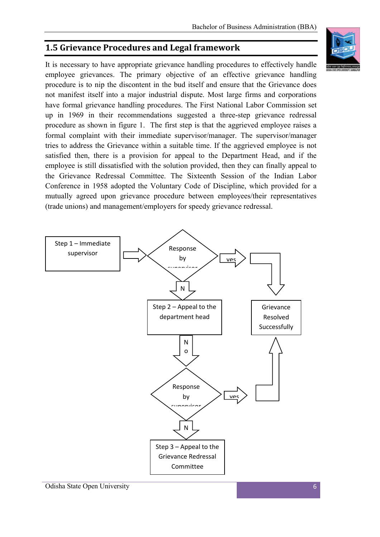### **1.5 Grievance Procedures and Legal framework**

It is necessary to have appropriate grievance handling procedures to effectively handle employee grievances. The primary objective of an effective grievance handling procedure is to nip the discontent in the bud itself and ensure that the Grievance does not manifest itself into a major industrial dispute. Most large firms and corporations have formal grievance handling procedures. The First National Labor Commission set up in 1969 in their recommendations suggested a three-step grievance redressal procedure as shown in figure 1. The first step is that the aggrieved employee raises a formal complaint with their immediate supervisor/manager. The supervisor/manager tries to address the Grievance within a suitable time. If the aggrieved employee is not satisfied then, there is a provision for appeal to the Department Head, and if the employee is still dissatisfied with the solution provided, then they can finally appeal to the Grievance Redressal Committee. The Sixteenth Session of the Indian Labor Conference in 1958 adopted the Voluntary Code of Discipline, which provided for a mutually agreed upon grievance procedure between employees/their representatives (trade unions) and management/employers for speedy grievance redressal.

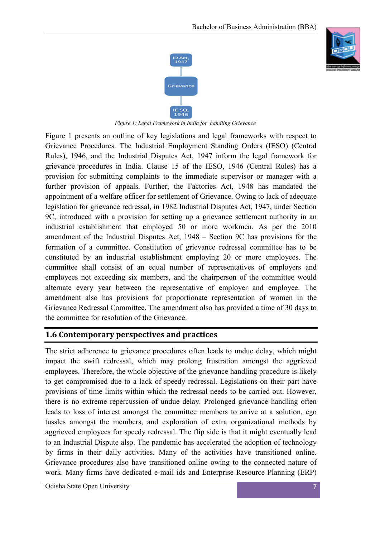



 *Figure 1: Legal Framework in India for handling Grievance*

Figure 1 presents an outline of key legislations and legal frameworks with respect to Grievance Procedures. The Industrial Employment Standing Orders (IESO) (Central Rules), 1946, and the Industrial Disputes Act, 1947 inform the legal framework for grievance procedures in India. Clause 15 of the IESO, 1946 (Central Rules) has a provision for submitting complaints to the immediate supervisor or manager with a further provision of appeals. Further, the Factories Act, 1948 has mandated the appointment of a welfare officer for settlement of Grievance. Owing to lack of adequate legislation for grievance redressal, in 1982 Industrial Disputes Act, 1947, under Section 9C, introduced with a provision for setting up a grievance settlement authority in an industrial establishment that employed 50 or more workmen. As per the 2010 amendment of the Industrial Disputes Act, 1948 – Section 9C has provisions for the formation of a committee. Constitution of grievance redressal committee has to be constituted by an industrial establishment employing 20 or more employees. The committee shall consist of an equal number of representatives of employers and employees not exceeding six members, and the chairperson of the committee would alternate every year between the representative of employer and employee. The amendment also has provisions for proportionate representation of women in the Grievance Redressal Committee. The amendment also has provided a time of 30 days to the committee for resolution of the Grievance.

#### **1.6 Contemporary perspectives and practices**

The strict adherence to grievance procedures often leads to undue delay, which might impact the swift redressal, which may prolong frustration amongst the aggrieved employees. Therefore, the whole objective of the grievance handling procedure is likely to get compromised due to a lack of speedy redressal. Legislations on their part have provisions of time limits within which the redressal needs to be carried out. However, there is no extreme repercussion of undue delay. Prolonged grievance handling often leads to loss of interest amongst the committee members to arrive at a solution, ego tussles amongst the members, and exploration of extra organizational methods by aggrieved employees for speedy redressal. The flip side is that it might eventually lead to an Industrial Dispute also. The pandemic has accelerated the adoption of technology by firms in their daily activities. Many of the activities have transitioned online. Grievance procedures also have transitioned online owing to the connected nature of work. Many firms have dedicated e-mail ids and Enterprise Resource Planning (ERP)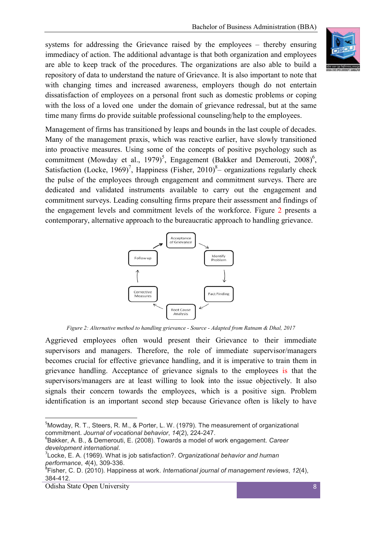systems for addressing the Grievance raised by the employees – thereby ensuring immediacy of action. The additional advantage is that both organization and employees are able to keep track of the procedures. The organizations are also able to build a repository of data to understand the nature of Grievance. It is also important to note that with changing times and increased awareness, employers though do not entertain dissatisfaction of employees on a personal front such as domestic problems or coping with the loss of a loved one under the domain of grievance redressal, but at the same time many firms do provide suitable professional counseling/help to the employees.

Management of firms has transitioned by leaps and bounds in the last couple of decades. Many of the management praxis, which was reactive earlier, have slowly transitioned into proactive measures. Using some of the concepts of positive psychology such as commitment (Mowday et al., 1979)<sup>5</sup>, Engagement (Bakker and Demerouti, 2008)<sup>6</sup>, Satisfaction (Locke, 1969)<sup>7</sup>, Happiness (Fisher, 2010)<sup>8</sup> – organizations regularly check the pulse of the employees through engagement and commitment surveys. There are dedicated and validated instruments available to carry out the engagement and commitment surveys. Leading consulting firms prepare their assessment and findings of the engagement levels and commitment levels of the workforce. Figure 2 presents a contemporary, alternative approach to the bureaucratic approach to handling grievance.



*Figure 2: Alternative method to handling grievance - Source - Adapted from Ratnam & Dhal, 2017*

Aggrieved employees often would present their Grievance to their immediate supervisors and managers. Therefore, the role of immediate supervisor/managers becomes crucial for effective grievance handling, and it is imperative to train them in grievance handling. Acceptance of grievance signals to the employees is that the supervisors/managers are at least willing to look into the issue objectively. It also signals their concern towards the employees, which is a positive sign. Problem identification is an important second step because Grievance often is likely to have

<sup>-&</sup>lt;br>5  $5$ Mowday, R. T., Steers, R. M., & Porter, L. W. (1979). The measurement of organizational commitment. Journal of vocational behavior, 14(2), 224-247.

Bakker, A. B., & Demerouti, E. (2008). Towards a model of work engagement. *Career development international*. <sup>7</sup>

Locke, E. A. (1969). What is job satisfaction?. *Organizational behavior and human performance*,  $4(4)$ , 309-336.

Fisher, C. D. (2010). Happiness at work. *International journal of management reviews*, *12*(4), 384-412.

Odisha State Open University 8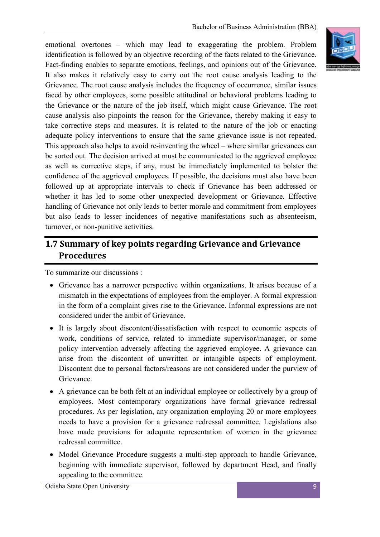emotional overtones – which may lead to exaggerating the problem. Problem identification is followed by an objective recording of the facts related to the Grievance. Fact-finding enables to separate emotions, feelings, and opinions out of the Grievance. It also makes it relatively easy to carry out the root cause analysis leading to the Grievance. The root cause analysis includes the frequency of occurrence, similar issues faced by other employees, some possible attitudinal or behavioral problems leading to the Grievance or the nature of the job itself, which might cause Grievance. The root cause analysis also pinpoints the reason for the Grievance, thereby making it easy to take corrective steps and measures. It is related to the nature of the job or enacting adequate policy interventions to ensure that the same grievance issue is not repeated. This approach also helps to avoid re-inventing the wheel – where similar grievances can be sorted out. The decision arrived at must be communicated to the aggrieved employee as well as corrective steps, if any, must be immediately implemented to bolster the confidence of the aggrieved employees. If possible, the decisions must also have been followed up at appropriate intervals to check if Grievance has been addressed or whether it has led to some other unexpected development or Grievance. Effective handling of Grievance not only leads to better morale and commitment from employees but also leads to lesser incidences of negative manifestations such as absenteeism, turnover, or non-punitive activities.

### **1.7 Summary of key points regarding Grievance and Grievance Procedures**

To summarize our discussions :

- Grievance has a narrower perspective within organizations. It arises because of a mismatch in the expectations of employees from the employer. A formal expression in the form of a complaint gives rise to the Grievance. Informal expressions are not considered under the ambit of Grievance.
- It is largely about discontent/dissatisfaction with respect to economic aspects of work, conditions of service, related to immediate supervisor/manager, or some policy intervention adversely affecting the aggrieved employee. A grievance can arise from the discontent of unwritten or intangible aspects of employment. Discontent due to personal factors/reasons are not considered under the purview of Grievance.
- A grievance can be both felt at an individual employee or collectively by a group of employees. Most contemporary organizations have formal grievance redressal procedures. As per legislation, any organization employing 20 or more employees needs to have a provision for a grievance redressal committee. Legislations also have made provisions for adequate representation of women in the grievance redressal committee.
- Model Grievance Procedure suggests a multi-step approach to handle Grievance, beginning with immediate supervisor, followed by department Head, and finally appealing to the committee.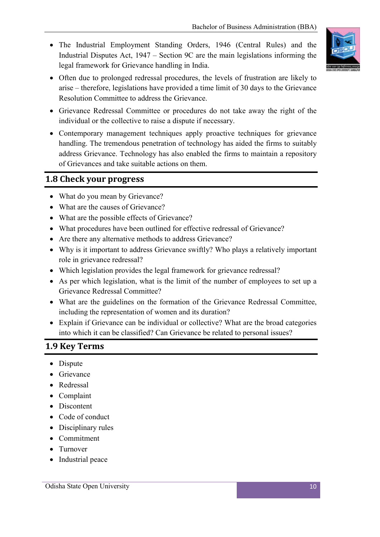The Industrial Employment Standing Orders, 1946 (Central Rules) and the Industrial Disputes Act, 1947 – Section 9C are the main legislations informing the legal framework for Grievance handling in India.



- Often due to prolonged redressal procedures, the levels of frustration are likely to arise – therefore, legislations have provided a time limit of 30 days to the Grievance Resolution Committee to address the Grievance.
- Grievance Redressal Committee or procedures do not take away the right of the individual or the collective to raise a dispute if necessary.
- Contemporary management techniques apply proactive techniques for grievance handling. The tremendous penetration of technology has aided the firms to suitably address Grievance. Technology has also enabled the firms to maintain a repository of Grievances and take suitable actions on them.

#### **1.8 Check your progress**

- What do you mean by Grievance?
- What are the causes of Grievance?
- What are the possible effects of Grievance?
- What procedures have been outlined for effective redressal of Grievance?
- Are there any alternative methods to address Grievance?
- Why is it important to address Grievance swiftly? Who plays a relatively important role in grievance redressal?
- Which legislation provides the legal framework for grievance redressal?
- As per which legislation, what is the limit of the number of employees to set up a Grievance Redressal Committee?
- What are the guidelines on the formation of the Grievance Redressal Committee, including the representation of women and its duration?
- Explain if Grievance can be individual or collective? What are the broad categories into which it can be classified? Can Grievance be related to personal issues?

#### **1.9 Key Terms**

- Dispute
- **•** Grievance
- Redressal
- Complaint
- Discontent
- Code of conduct
- Disciplinary rules
- Commitment
- Turnover
- Industrial peace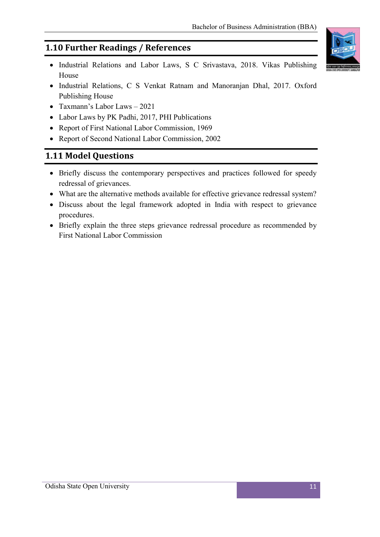### **1.10 Further Readings / References**

- Industrial Relations and Labor Laws, S C Srivastava, 2018. Vikas Publishing House
- Industrial Relations, C S Venkat Ratnam and Manoranjan Dhal, 2017. Oxford Publishing House
- Taxmann's Labor Laws 2021
- Labor Laws by PK Padhi, 2017, PHI Publications
- Report of First National Labor Commission, 1969
- Report of Second National Labor Commission, 2002

### **1.11 Model Questions**

- Briefly discuss the contemporary perspectives and practices followed for speedy redressal of grievances.
- What are the alternative methods available for effective grievance redressal system?
- Discuss about the legal framework adopted in India with respect to grievance procedures.
- Briefly explain the three steps grievance redressal procedure as recommended by First National Labor Commission

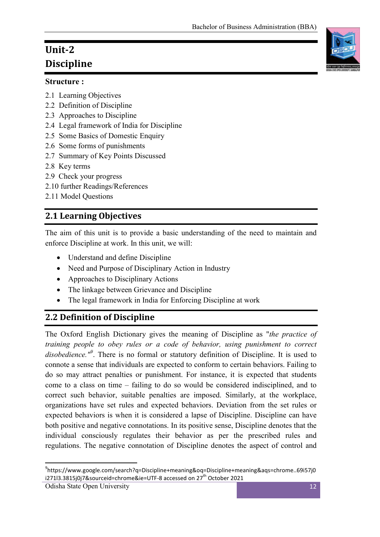## **Unit-2 Discipline**

#### **Structure :**

- 2.1 Learning Objectives
- 2.2 Definition of Discipline
- 2.3 Approaches to Discipline
- 2.4 Legal framework of India for Discipline
- 2.5 Some Basics of Domestic Enquiry
- 2.6 Some forms of punishments
- 2.7 Summary of Key Points Discussed
- 2.8 Key terms
- 2.9 Check your progress
- 2.10 further Readings/References
- 2.11 Model Questions

### **2.1 Learning Objectives**

The aim of this unit is to provide a basic understanding of the need to maintain and enforce Discipline at work. In this unit, we will:

- Understand and define Discipline
- Need and Purpose of Disciplinary Action in Industry
- Approaches to Disciplinary Actions
- The linkage between Grievance and Discipline
- The legal framework in India for Enforcing Discipline at work

### **2.2 Definition of Discipline**

The Oxford English Dictionary gives the meaning of Discipline as "*the practice of training people to obey rules or a code of behavior, using punishment to correct disobedience."<sup>9</sup>* . There is no formal or statutory definition of Discipline. It is used to connote a sense that individuals are expected to conform to certain behaviors. Failing to do so may attract penalties or punishment. For instance, it is expected that students come to a class on time – failing to do so would be considered indisciplined, and to correct such behavior, suitable penalties are imposed. Similarly, at the workplace, organizations have set rules and expected behaviors. Deviation from the set rules or expected behaviors is when it is considered a lapse of Discipline. Discipline can have both positive and negative connotations. In its positive sense, Discipline denotes that the individual consciously regulates their behavior as per the prescribed rules and regulations. The negative connotation of Discipline denotes the aspect of control and



ــ<br>9 https://www.google.com/search?q=Discipline+meaning&oq=Discipline+meaning&aqs=chrome..69i57j0 i271l3.3815j0j7&sourceid=chrome&ie=UTF-8 accessed on 27<sup>th</sup> October 2021

Odisha State Open University 12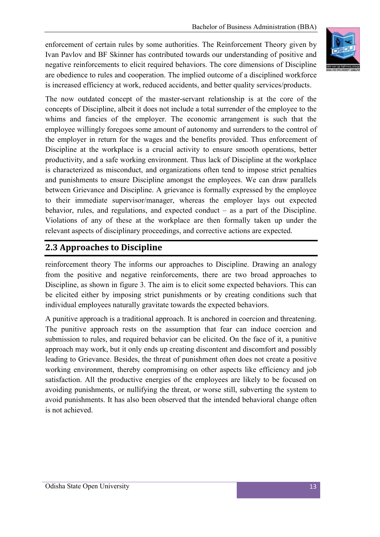enforcement of certain rules by some authorities. The Reinforcement Theory given by Ivan Pavlov and BF Skinner has contributed towards our understanding of positive and negative reinforcements to elicit required behaviors. The core dimensions of Discipline are obedience to rules and cooperation. The implied outcome of a disciplined workforce is increased efficiency at work, reduced accidents, and better quality services/products.



The now outdated concept of the master-servant relationship is at the core of the concepts of Discipline, albeit it does not include a total surrender of the employee to the whims and fancies of the employer. The economic arrangement is such that the employee willingly foregoes some amount of autonomy and surrenders to the control of the employer in return for the wages and the benefits provided. Thus enforcement of Discipline at the workplace is a crucial activity to ensure smooth operations, better productivity, and a safe working environment. Thus lack of Discipline at the workplace is characterized as misconduct, and organizations often tend to impose strict penalties and punishments to ensure Discipline amongst the employees. We can draw parallels between Grievance and Discipline. A grievance is formally expressed by the employee to their immediate supervisor/manager, whereas the employer lays out expected behavior, rules, and regulations, and expected conduct – as a part of the Discipline. Violations of any of these at the workplace are then formally taken up under the relevant aspects of disciplinary proceedings, and corrective actions are expected.

### **2.3 Approaches to Discipline**

reinforcement theory The informs our approaches to Discipline. Drawing an analogy from the positive and negative reinforcements, there are two broad approaches to Discipline, as shown in figure 3. The aim is to elicit some expected behaviors. This can be elicited either by imposing strict punishments or by creating conditions such that individual employees naturally gravitate towards the expected behaviors.

A punitive approach is a traditional approach. It is anchored in coercion and threatening. The punitive approach rests on the assumption that fear can induce coercion and submission to rules, and required behavior can be elicited. On the face of it, a punitive approach may work, but it only ends up creating discontent and discomfort and possibly leading to Grievance. Besides, the threat of punishment often does not create a positive working environment, thereby compromising on other aspects like efficiency and job satisfaction. All the productive energies of the employees are likely to be focused on avoiding punishments, or nullifying the threat, or worse still, subverting the system to avoid punishments. It has also been observed that the intended behavioral change often is not achieved.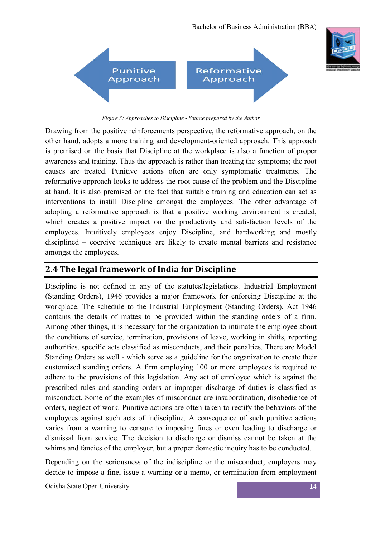

*Figure 3: Approaches to Discipline - Source prepared by the Author*

Drawing from the positive reinforcements perspective, the reformative approach, on the other hand, adopts a more training and development-oriented approach. This approach is premised on the basis that Discipline at the workplace is also a function of proper awareness and training. Thus the approach is rather than treating the symptoms; the root causes are treated. Punitive actions often are only symptomatic treatments. The reformative approach looks to address the root cause of the problem and the Discipline at hand. It is also premised on the fact that suitable training and education can act as interventions to instill Discipline amongst the employees. The other advantage of adopting a reformative approach is that a positive working environment is created, which creates a positive impact on the productivity and satisfaction levels of the employees. Intuitively employees enjoy Discipline, and hardworking and mostly disciplined – coercive techniques are likely to create mental barriers and resistance amongst the employees.

#### **2.4 The legal framework of India for Discipline**

Discipline is not defined in any of the statutes/legislations. Industrial Employment (Standing Orders), 1946 provides a major framework for enforcing Discipline at the workplace. The schedule to the Industrial Employment (Standing Orders), Act 1946 contains the details of mattes to be provided within the standing orders of a firm. Among other things, it is necessary for the organization to intimate the employee about the conditions of service, termination, provisions of leave, working in shifts, reporting authorities, specific acts classified as misconducts, and their penalties. There are Model Standing Orders as well - which serve as a guideline for the organization to create their customized standing orders. A firm employing 100 or more employees is required to adhere to the provisions of this legislation. Any act of employee which is against the prescribed rules and standing orders or improper discharge of duties is classified as misconduct. Some of the examples of misconduct are insubordination, disobedience of orders, neglect of work. Punitive actions are often taken to rectify the behaviors of the employees against such acts of indiscipline. A consequence of such punitive actions varies from a warning to censure to imposing fines or even leading to discharge or dismissal from service. The decision to discharge or dismiss cannot be taken at the whims and fancies of the employer, but a proper domestic inquiry has to be conducted.

Depending on the seriousness of the indiscipline or the misconduct, employers may decide to impose a fine, issue a warning or a memo, or termination from employment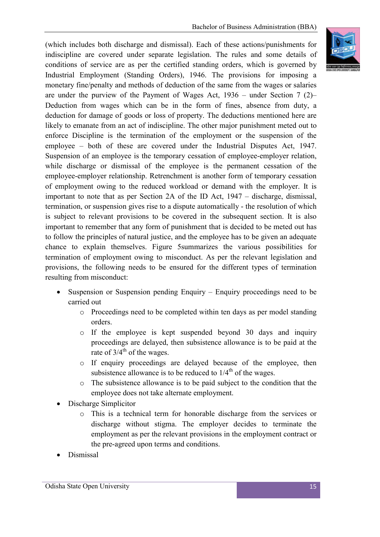(which includes both discharge and dismissal). Each of these actions/punishments for indiscipline are covered under separate legislation. The rules and some details of conditions of service are as per the certified standing orders, which is governed by Industrial Employment (Standing Orders), 1946. The provisions for imposing a monetary fine/penalty and methods of deduction of the same from the wages or salaries are under the purview of the Payment of Wages Act, 1936 – under Section 7 (2)– Deduction from wages which can be in the form of fines, absence from duty, a deduction for damage of goods or loss of property. The deductions mentioned here are likely to emanate from an act of indiscipline. The other major punishment meted out to enforce Discipline is the termination of the employment or the suspension of the employee – both of these are covered under the Industrial Disputes Act, 1947. Suspension of an employee is the temporary cessation of employee-employer relation, while discharge or dismissal of the employee is the permanent cessation of the employee-employer relationship. Retrenchment is another form of temporary cessation of employment owing to the reduced workload or demand with the employer. It is important to note that as per Section 2A of the ID Act, 1947 – discharge, dismissal, termination, or suspension gives rise to a dispute automatically - the resolution of which is subject to relevant provisions to be covered in the subsequent section. It is also important to remember that any form of punishment that is decided to be meted out has to follow the principles of natural justice, and the employee has to be given an adequate chance to explain themselves. Figure 5summarizes the various possibilities for termination of employment owing to misconduct. As per the relevant legislation and provisions, the following needs to be ensured for the different types of termination resulting from misconduct:

- Suspension or Suspension pending Enquiry Enquiry proceedings need to be carried out
	- o Proceedings need to be completed within ten days as per model standing orders.
	- o If the employee is kept suspended beyond 30 days and inquiry proceedings are delayed, then subsistence allowance is to be paid at the rate of  $3/4^{th}$  of the wages.
	- o If enquiry proceedings are delayed because of the employee, then subsistence allowance is to be reduced to  $1/4<sup>th</sup>$  of the wages.
	- o The subsistence allowance is to be paid subject to the condition that the employee does not take alternate employment.
- Discharge Simplicitor
	- o This is a technical term for honorable discharge from the services or discharge without stigma. The employer decides to terminate the employment as per the relevant provisions in the employment contract or the pre-agreed upon terms and conditions.
- Dismissal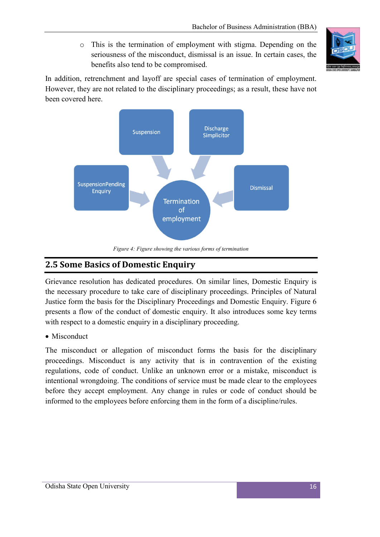o This is the termination of employment with stigma. Depending on the seriousness of the misconduct, dismissal is an issue. In certain cases, the benefits also tend to be compromised.



In addition, retrenchment and layoff are special cases of termination of employment. However, they are not related to the disciplinary proceedings; as a result, these have not been covered here.



*Figure 4: Figure showing the various forms of termination*

### **2.5 Some Basics of Domestic Enquiry**

Grievance resolution has dedicated procedures. On similar lines, Domestic Enquiry is the necessary procedure to take care of disciplinary proceedings. Principles of Natural Justice form the basis for the Disciplinary Proceedings and Domestic Enquiry. Figure 6 presents a flow of the conduct of domestic enquiry. It also introduces some key terms with respect to a domestic enquiry in a disciplinary proceeding.

• Misconduct

The misconduct or allegation of misconduct forms the basis for the disciplinary proceedings. Misconduct is any activity that is in contravention of the existing regulations, code of conduct. Unlike an unknown error or a mistake, misconduct is intentional wrongdoing. The conditions of service must be made clear to the employees before they accept employment. Any change in rules or code of conduct should be informed to the employees before enforcing them in the form of a discipline/rules.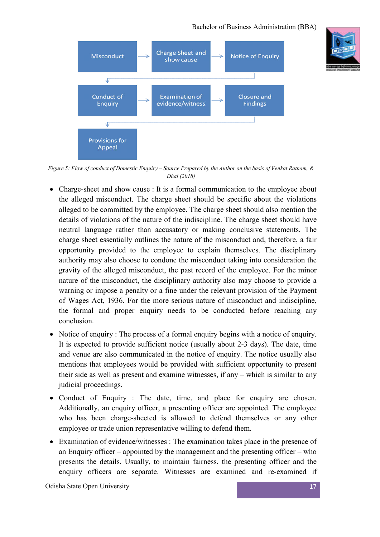



*Figure 5: Flow of conduct of Domestic Enquiry – Source Prepared by the Author on the basis of Venkat Ratnam, & Dhal (2018)*

- Charge-sheet and show cause : It is a formal communication to the employee about the alleged misconduct. The charge sheet should be specific about the violations alleged to be committed by the employee. The charge sheet should also mention the details of violations of the nature of the indiscipline. The charge sheet should have neutral language rather than accusatory or making conclusive statements. The charge sheet essentially outlines the nature of the misconduct and, therefore, a fair opportunity provided to the employee to explain themselves. The disciplinary authority may also choose to condone the misconduct taking into consideration the gravity of the alleged misconduct, the past record of the employee. For the minor nature of the misconduct, the disciplinary authority also may choose to provide a warning or impose a penalty or a fine under the relevant provision of the Payment of Wages Act, 1936. For the more serious nature of misconduct and indiscipline, the formal and proper enquiry needs to be conducted before reaching any conclusion.
- Notice of enquiry : The process of a formal enquiry begins with a notice of enquiry. It is expected to provide sufficient notice (usually about 2-3 days). The date, time and venue are also communicated in the notice of enquiry. The notice usually also mentions that employees would be provided with sufficient opportunity to present their side as well as present and examine witnesses, if any – which is similar to any judicial proceedings.
- Conduct of Enquiry : The date, time, and place for enquiry are chosen. Additionally, an enquiry officer, a presenting officer are appointed. The employee who has been charge-sheeted is allowed to defend themselves or any other employee or trade union representative willing to defend them.
- Examination of evidence/witnesses : The examination takes place in the presence of an Enquiry officer – appointed by the management and the presenting officer – who presents the details. Usually, to maintain fairness, the presenting officer and the enquiry officers are separate. Witnesses are examined and re-examined if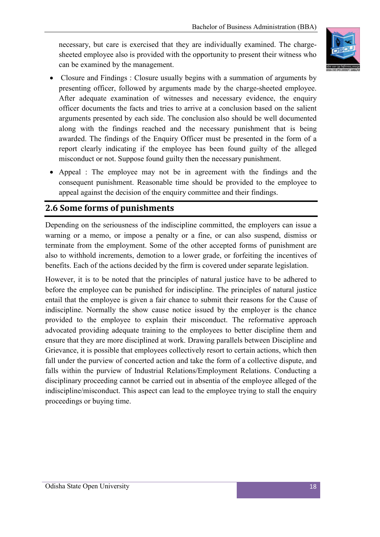necessary, but care is exercised that they are individually examined. The chargesheeted employee also is provided with the opportunity to present their witness who can be examined by the management.



- Closure and Findings : Closure usually begins with a summation of arguments by presenting officer, followed by arguments made by the charge-sheeted employee. After adequate examination of witnesses and necessary evidence, the enquiry officer documents the facts and tries to arrive at a conclusion based on the salient arguments presented by each side. The conclusion also should be well documented along with the findings reached and the necessary punishment that is being awarded. The findings of the Enquiry Officer must be presented in the form of a report clearly indicating if the employee has been found guilty of the alleged misconduct or not. Suppose found guilty then the necessary punishment.
- Appeal : The employee may not be in agreement with the findings and the consequent punishment. Reasonable time should be provided to the employee to appeal against the decision of the enquiry committee and their findings.

#### **2.6 Some forms of punishments**

Depending on the seriousness of the indiscipline committed, the employers can issue a warning or a memo, or impose a penalty or a fine, or can also suspend, dismiss or terminate from the employment. Some of the other accepted forms of punishment are also to withhold increments, demotion to a lower grade, or forfeiting the incentives of benefits. Each of the actions decided by the firm is covered under separate legislation.

However, it is to be noted that the principles of natural justice have to be adhered to before the employee can be punished for indiscipline. The principles of natural justice entail that the employee is given a fair chance to submit their reasons for the Cause of indiscipline. Normally the show cause notice issued by the employer is the chance provided to the employee to explain their misconduct. The reformative approach advocated providing adequate training to the employees to better discipline them and ensure that they are more disciplined at work. Drawing parallels between Discipline and Grievance, it is possible that employees collectively resort to certain actions, which then fall under the purview of concerted action and take the form of a collective dispute, and falls within the purview of Industrial Relations/Employment Relations. Conducting a disciplinary proceeding cannot be carried out in absentia of the employee alleged of the indiscipline/misconduct. This aspect can lead to the employee trying to stall the enquiry proceedings or buying time.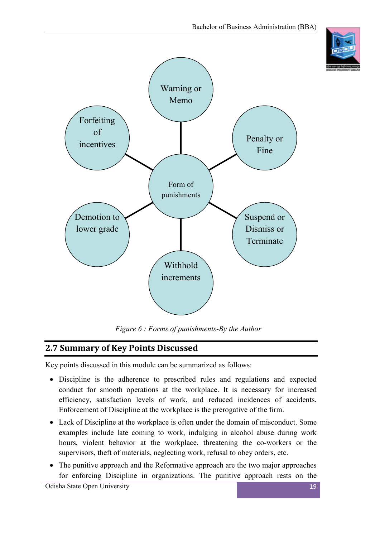



*Figure 6 : Forms of punishments-By the Author*

#### **2.7 Summary of Key Points Discussed**

Key points discussed in this module can be summarized as follows:

- Discipline is the adherence to prescribed rules and regulations and expected conduct for smooth operations at the workplace. It is necessary for increased efficiency, satisfaction levels of work, and reduced incidences of accidents. Enforcement of Discipline at the workplace is the prerogative of the firm.
- Lack of Discipline at the workplace is often under the domain of misconduct. Some examples include late coming to work, indulging in alcohol abuse during work hours, violent behavior at the workplace, threatening the co-workers or the supervisors, theft of materials, neglecting work, refusal to obey orders, etc.
- The punitive approach and the Reformative approach are the two major approaches for enforcing Discipline in organizations. The punitive approach rests on the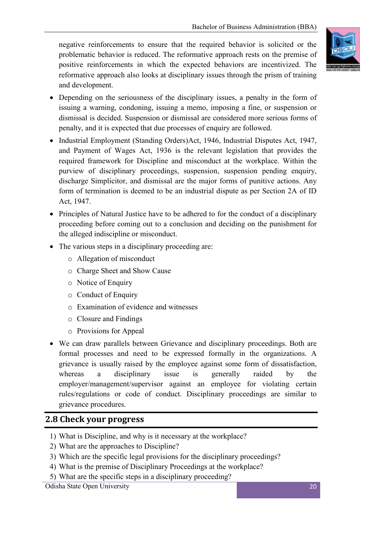negative reinforcements to ensure that the required behavior is solicited or the problematic behavior is reduced. The reformative approach rests on the premise of positive reinforcements in which the expected behaviors are incentivized. The reformative approach also looks at disciplinary issues through the prism of training and development.



- Depending on the seriousness of the disciplinary issues, a penalty in the form of issuing a warning, condoning, issuing a memo, imposing a fine, or suspension or dismissal is decided. Suspension or dismissal are considered more serious forms of penalty, and it is expected that due processes of enquiry are followed.
- Industrial Employment (Standing Orders)Act, 1946, Industrial Disputes Act, 1947, and Payment of Wages Act, 1936 is the relevant legislation that provides the required framework for Discipline and misconduct at the workplace. Within the purview of disciplinary proceedings, suspension, suspension pending enquiry, discharge Simplicitor, and dismissal are the major forms of punitive actions. Any form of termination is deemed to be an industrial dispute as per Section 2A of ID Act, 1947.
- Principles of Natural Justice have to be adhered to for the conduct of a disciplinary proceeding before coming out to a conclusion and deciding on the punishment for the alleged indiscipline or misconduct.
- The various steps in a disciplinary proceeding are:
	- o Allegation of misconduct
	- o Charge Sheet and Show Cause
	- o Notice of Enquiry
	- o Conduct of Enquiry
	- o Examination of evidence and witnesses
	- o Closure and Findings
	- o Provisions for Appeal
- We can draw parallels between Grievance and disciplinary proceedings. Both are formal processes and need to be expressed formally in the organizations. A grievance is usually raised by the employee against some form of dissatisfaction, whereas a disciplinary issue is generally raided by the employer/management/supervisor against an employee for violating certain rules/regulations or code of conduct. Disciplinary proceedings are similar to grievance procedures.

#### **2.8 Check your progress**

- 1) What is Discipline, and why is it necessary at the workplace?
- 2) What are the approaches to Discipline?
- 3) Which are the specific legal provisions for the disciplinary proceedings?
- 4) What is the premise of Disciplinary Proceedings at the workplace?
- 5) What are the specific steps in a disciplinary proceeding?

Odisha State Open University 20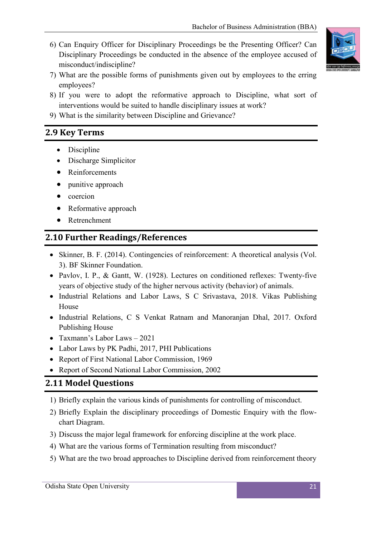6) Can Enquiry Officer for Disciplinary Proceedings be the Presenting Officer? Can Disciplinary Proceedings be conducted in the absence of the employee accused of misconduct/indiscipline?



- 7) What are the possible forms of punishments given out by employees to the erring employees?
- 8) If you were to adopt the reformative approach to Discipline, what sort of interventions would be suited to handle disciplinary issues at work?
- 9) What is the similarity between Discipline and Grievance?

#### **2.9 Key Terms**

- Discipline
- Discharge Simplicitor
- Reinforcements
- punitive approach
- coercion
- Reformative approach
- Retrenchment

#### **2.10 Further Readings/References**

- Skinner, B. F. (2014). Contingencies of reinforcement: A theoretical analysis (Vol. 3). BF Skinner Foundation.
- Pavlov, I. P., & Gantt, W. (1928). Lectures on conditioned reflexes: Twenty-five years of objective study of the higher nervous activity (behavior) of animals.
- Industrial Relations and Labor Laws, S C Srivastava, 2018. Vikas Publishing House
- Industrial Relations, C S Venkat Ratnam and Manoranjan Dhal, 2017. Oxford Publishing House
- Taxmann's Labor Laws 2021
- Labor Laws by PK Padhi, 2017, PHI Publications
- Report of First National Labor Commission, 1969
- Report of Second National Labor Commission, 2002

#### **2.11 Model Questions**

- 1) Briefly explain the various kinds of punishments for controlling of misconduct.
- 2) Briefly Explain the disciplinary proceedings of Domestic Enquiry with the flowchart Diagram.
- 3) Discuss the major legal framework for enforcing discipline at the work place.
- 4) What are the various forms of Termination resulting from misconduct?
- 5) What are the two broad approaches to Discipline derived from reinforcement theory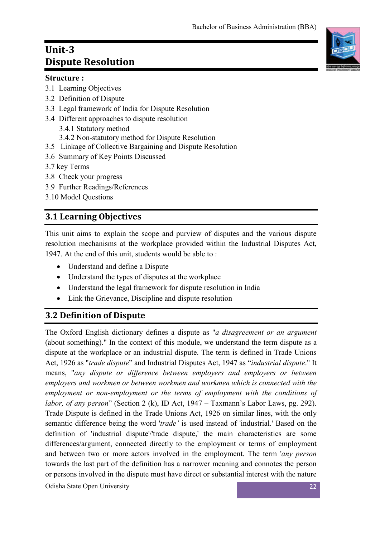### **Unit-3 Dispute Resolution**

#### **Structure :**

- 3.1 Learning Objectives
- 3.2 Definition of Dispute
- 3.3 Legal framework of India for Dispute Resolution
- 3.4 Different approaches to dispute resolution
	- 3.4.1 Statutory method
	- 3.4.2 Non-statutory method for Dispute Resolution
- 3.5 Linkage of Collective Bargaining and Dispute Resolution
- 3.6 Summary of Key Points Discussed
- 3.7 key Terms
- 3.8 Check your progress
- 3.9 Further Readings/References
- 3.10 Model Questions

### **3.1 Learning Objectives**

This unit aims to explain the scope and purview of disputes and the various dispute resolution mechanisms at the workplace provided within the Industrial Disputes Act, 1947. At the end of this unit, students would be able to :

- Understand and define a Dispute
- Understand the types of disputes at the workplace
- Understand the legal framework for dispute resolution in India
- Link the Grievance, Discipline and dispute resolution

### **3.2 Definition of Dispute**

The Oxford English dictionary defines a dispute as "*a disagreement or an argument* (about something)." In the context of this module, we understand the term dispute as a dispute at the workplace or an industrial dispute. The term is defined in Trade Unions Act, 1926 as "*trade dispute*" and Industrial Disputes Act, 1947 as "*industrial dispute*." It means, "*any dispute or difference between employers and employers or between employers and workmen or between workmen and workmen which is connected with the employment or non-employment or the terms of employment with the conditions of labor, of any person*" (Section 2 (k), ID Act, 1947 – Taxmann's Labor Laws, pg. 292). Trade Dispute is defined in the Trade Unions Act, 1926 on similar lines, with the only semantic difference being the word '*trade'* is used instead of 'industrial.' Based on the definition of 'industrial dispute'/'trade dispute,' the main characteristics are some differences/argument, connected directly to the employment or terms of employment and between two or more actors involved in the employment. The term '*any person* towards the last part of the definition has a narrower meaning and connotes the person or persons involved in the dispute must have direct or substantial interest with the nature

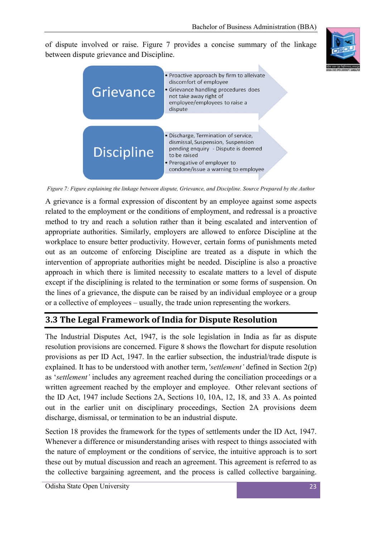of dispute involved or raise. Figure 7 provides a concise summary of the linkage between dispute grievance and Discipline.





*Figure 7: Figure explaining the linkage between dispute, Grievance, and Discipline. Source Prepared by the Author*

A grievance is a formal expression of discontent by an employee against some aspects related to the employment or the conditions of employment, and redressal is a proactive method to try and reach a solution rather than it being escalated and intervention of appropriate authorities. Similarly, employers are allowed to enforce Discipline at the workplace to ensure better productivity. However, certain forms of punishments meted out as an outcome of enforcing Discipline are treated as a dispute in which the intervention of appropriate authorities might be needed. Discipline is also a proactive approach in which there is limited necessity to escalate matters to a level of dispute except if the disciplining is related to the termination or some forms of suspension. On the lines of a grievance, the dispute can be raised by an individual employee or a group or a collective of employees – usually, the trade union representing the workers.

#### **3.3 The Legal Framework of India for Dispute Resolution**

The Industrial Disputes Act, 1947, is the sole legislation in India as far as dispute resolution provisions are concerned. Figure 8 shows the flowchart for dispute resolution provisions as per ID Act, 1947. In the earlier subsection, the industrial/trade dispute is explained. It has to be understood with another term, '*settlement'* defined in Section 2(p) as '*settlement'* includes any agreement reached during the conciliation proceedings or a written agreement reached by the employer and employee. Other relevant sections of the ID Act, 1947 include Sections 2A, Sections 10, 10A, 12, 18, and 33 A. As pointed out in the earlier unit on disciplinary proceedings, Section 2A provisions deem discharge, dismissal, or termination to be an industrial dispute.

Section 18 provides the framework for the types of settlements under the ID Act, 1947. Whenever a difference or misunderstanding arises with respect to things associated with the nature of employment or the conditions of service, the intuitive approach is to sort these out by mutual discussion and reach an agreement. This agreement is referred to as the collective bargaining agreement, and the process is called collective bargaining.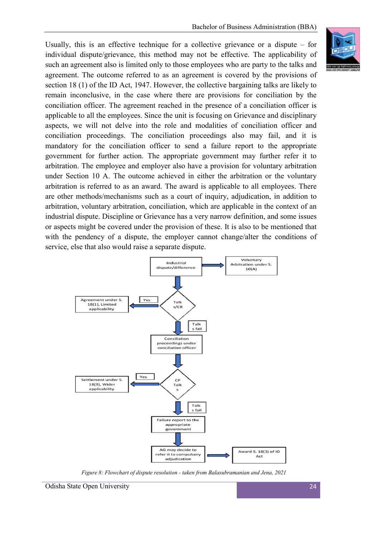Usually, this is an effective technique for a collective grievance or a dispute – for individual dispute/grievance, this method may not be effective. The applicability of such an agreement also is limited only to those employees who are party to the talks and agreement. The outcome referred to as an agreement is covered by the provisions of section 18 (1) of the ID Act, 1947. However, the collective bargaining talks are likely to remain inconclusive, in the case where there are provisions for conciliation by the conciliation officer. The agreement reached in the presence of a conciliation officer is applicable to all the employees. Since the unit is focusing on Grievance and disciplinary aspects, we will not delve into the role and modalities of conciliation officer and conciliation proceedings. The conciliation proceedings also may fail, and it is mandatory for the conciliation officer to send a failure report to the appropriate government for further action. The appropriate government may further refer it to arbitration. The employee and employer also have a provision for voluntary arbitration under Section 10 A. The outcome achieved in either the arbitration or the voluntary arbitration is referred to as an award. The award is applicable to all employees. There are other methods/mechanisms such as a court of inquiry, adjudication, in addition to arbitration, voluntary arbitration, conciliation, which are applicable in the context of an industrial dispute. Discipline or Grievance has a very narrow definition, and some issues or aspects might be covered under the provision of these. It is also to be mentioned that with the pendency of a dispute, the employer cannot change/alter the conditions of service, else that also would raise a separate dispute.



 *Figure 8: Flowchart of dispute resolution - taken from Balasubramanian and Jena, 2021*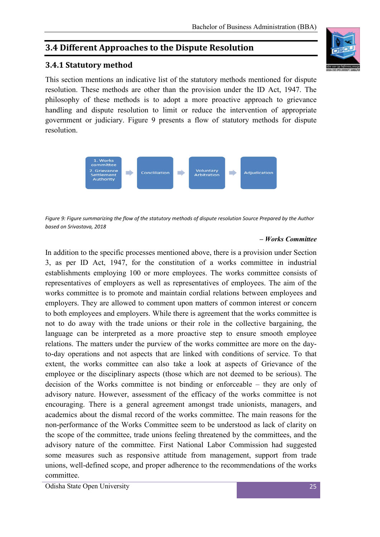#### **3.4 Different Approaches to the Dispute Resolution**

#### **3.4.1 Statutory method**

This section mentions an indicative list of the statutory methods mentioned for dispute resolution. These methods are other than the provision under the ID Act, 1947. The philosophy of these methods is to adopt a more proactive approach to grievance handling and dispute resolution to limit or reduce the intervention of appropriate government or judiciary. Figure 9 presents a flow of statutory methods for dispute resolution.



*Figure 9: Figure summarizing the flow of the statutory methods of dispute resolution Source Prepared by the Author based on Srivastava, 2018*

#### *– Works Committee*

In addition to the specific processes mentioned above, there is a provision under Section 3, as per ID Act, 1947, for the constitution of a works committee in industrial establishments employing 100 or more employees. The works committee consists of representatives of employers as well as representatives of employees. The aim of the works committee is to promote and maintain cordial relations between employees and employers. They are allowed to comment upon matters of common interest or concern to both employees and employers. While there is agreement that the works committee is not to do away with the trade unions or their role in the collective bargaining, the language can be interpreted as a more proactive step to ensure smooth employee relations. The matters under the purview of the works committee are more on the dayto-day operations and not aspects that are linked with conditions of service. To that extent, the works committee can also take a look at aspects of Grievance of the employee or the disciplinary aspects (those which are not deemed to be serious). The decision of the Works committee is not binding or enforceable – they are only of advisory nature. However, assessment of the efficacy of the works committee is not encouraging. There is a general agreement amongst trade unionists, managers, and academics about the dismal record of the works committee. The main reasons for the non-performance of the Works Committee seem to be understood as lack of clarity on the scope of the committee, trade unions feeling threatened by the committees, and the advisory nature of the committee. First National Labor Commission had suggested some measures such as responsive attitude from management, support from trade unions, well-defined scope, and proper adherence to the recommendations of the works committee.

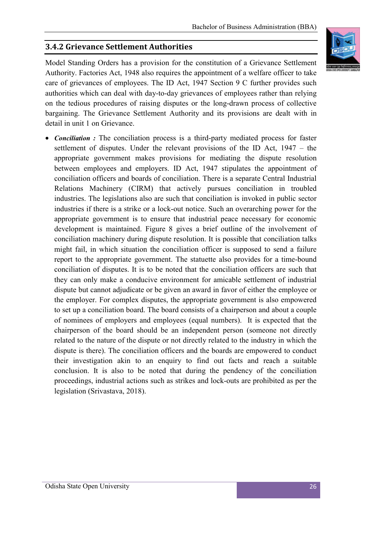#### **3.4.2 Grievance Settlement Authorities**

Model Standing Orders has a provision for the constitution of a Grievance Settlement Authority. Factories Act, 1948 also requires the appointment of a welfare officer to take care of grievances of employees. The ID Act, 1947 Section 9 C further provides such authorities which can deal with day-to-day grievances of employees rather than relying on the tedious procedures of raising disputes or the long-drawn process of collective bargaining. The Grievance Settlement Authority and its provisions are dealt with in detail in unit 1 on Grievance.

 *Conciliation :* The conciliation process is a third-party mediated process for faster settlement of disputes. Under the relevant provisions of the ID Act, 1947 – the appropriate government makes provisions for mediating the dispute resolution between employees and employers. ID Act, 1947 stipulates the appointment of conciliation officers and boards of conciliation. There is a separate Central Industrial Relations Machinery (CIRM) that actively pursues conciliation in troubled industries. The legislations also are such that conciliation is invoked in public sector industries if there is a strike or a lock-out notice. Such an overarching power for the appropriate government is to ensure that industrial peace necessary for economic development is maintained. Figure 8 gives a brief outline of the involvement of conciliation machinery during dispute resolution. It is possible that conciliation talks might fail, in which situation the conciliation officer is supposed to send a failure report to the appropriate government. The statuette also provides for a time-bound conciliation of disputes. It is to be noted that the conciliation officers are such that they can only make a conducive environment for amicable settlement of industrial dispute but cannot adjudicate or be given an award in favor of either the employee or the employer. For complex disputes, the appropriate government is also empowered to set up a conciliation board. The board consists of a chairperson and about a couple of nominees of employers and employees (equal numbers). It is expected that the chairperson of the board should be an independent person (someone not directly related to the nature of the dispute or not directly related to the industry in which the dispute is there). The conciliation officers and the boards are empowered to conduct their investigation akin to an enquiry to find out facts and reach a suitable conclusion. It is also to be noted that during the pendency of the conciliation proceedings, industrial actions such as strikes and lock-outs are prohibited as per the legislation (Srivastava, 2018).

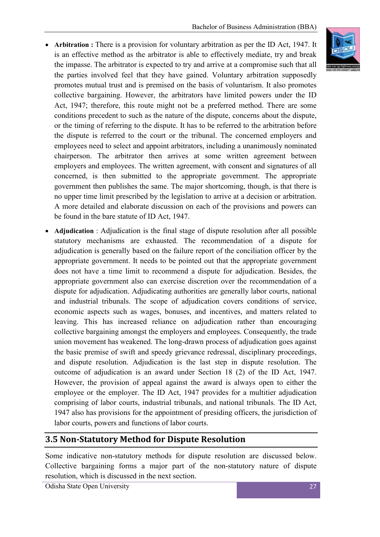- **Arbitration :** There is a provision for voluntary arbitration as per the ID Act, 1947. It is an effective method as the arbitrator is able to effectively mediate, try and break the impasse. The arbitrator is expected to try and arrive at a compromise such that all the parties involved feel that they have gained. Voluntary arbitration supposedly promotes mutual trust and is premised on the basis of voluntarism. It also promotes collective bargaining. However, the arbitrators have limited powers under the ID Act, 1947; therefore, this route might not be a preferred method. There are some conditions precedent to such as the nature of the dispute, concerns about the dispute, or the timing of referring to the dispute. It has to be referred to the arbitration before the dispute is referred to the court or the tribunal. The concerned employers and employees need to select and appoint arbitrators, including a unanimously nominated chairperson. The arbitrator then arrives at some written agreement between employers and employees. The written agreement, with consent and signatures of all concerned, is then submitted to the appropriate government. The appropriate government then publishes the same. The major shortcoming, though, is that there is no upper time limit prescribed by the legislation to arrive at a decision or arbitration. A more detailed and elaborate discussion on each of the provisions and powers can be found in the bare statute of ID Act, 1947.
- **Adjudication** : Adjudication is the final stage of dispute resolution after all possible statutory mechanisms are exhausted. The recommendation of a dispute for adjudication is generally based on the failure report of the conciliation officer by the appropriate government. It needs to be pointed out that the appropriate government does not have a time limit to recommend a dispute for adjudication. Besides, the appropriate government also can exercise discretion over the recommendation of a dispute for adjudication. Adjudicating authorities are generally labor courts, national and industrial tribunals. The scope of adjudication covers conditions of service, economic aspects such as wages, bonuses, and incentives, and matters related to leaving. This has increased reliance on adjudication rather than encouraging collective bargaining amongst the employers and employees. Consequently, the trade union movement has weakened. The long-drawn process of adjudication goes against the basic premise of swift and speedy grievance redressal, disciplinary proceedings, and dispute resolution. Adjudication is the last step in dispute resolution. The outcome of adjudication is an award under Section 18 (2) of the ID Act, 1947. However, the provision of appeal against the award is always open to either the employee or the employer. The ID Act, 1947 provides for a multitier adjudication comprising of labor courts, industrial tribunals, and national tribunals. The ID Act, 1947 also has provisions for the appointment of presiding officers, the jurisdiction of labor courts, powers and functions of labor courts.

#### **3.5 Non-Statutory Method for Dispute Resolution**

Some indicative non-statutory methods for dispute resolution are discussed below. Collective bargaining forms a major part of the non-statutory nature of dispute resolution, which is discussed in the next section.

Odisha State Open University 27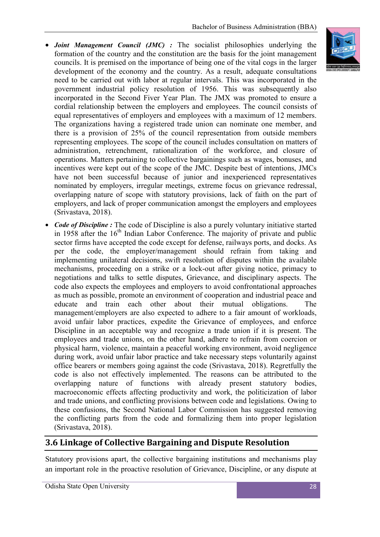- *Joint Management Council (JMC) :* The socialist philosophies underlying the formation of the country and the constitution are the basis for the joint management councils. It is premised on the importance of being one of the vital cogs in the larger development of the economy and the country. As a result, adequate consultations need to be carried out with labor at regular intervals. This was incorporated in the government industrial policy resolution of 1956. This was subsequently also incorporated in the Second Fiver Year Plan. The JMX was promoted to ensure a cordial relationship between the employers and employees. The council consists of equal representatives of employers and employees with a maximum of 12 members. The organizations having a registered trade union can nominate one member, and there is a provision of 25% of the council representation from outside members representing employees. The scope of the council includes consultation on matters of administration, retrenchment, rationalization of the workforce, and closure of operations. Matters pertaining to collective bargainings such as wages, bonuses, and incentives were kept out of the scope of the JMC. Despite best of intentions, JMCs have not been successful because of junior and inexperienced representatives nominated by employers, irregular meetings, extreme focus on grievance redressal, overlapping nature of scope with statutory provisions, lack of faith on the part of employers, and lack of proper communication amongst the employers and employees (Srivastava, 2018).
- Code of Discipline : The code of Discipline is also a purely voluntary initiative started in 1958 after the  $16<sup>th</sup>$  Indian Labor Conference. The majority of private and public sector firms have accepted the code except for defense, railways ports, and docks. As per the code, the employer/management should refrain from taking and implementing unilateral decisions, swift resolution of disputes within the available mechanisms, proceeding on a strike or a lock-out after giving notice, primacy to negotiations and talks to settle disputes, Grievance, and disciplinary aspects. The code also expects the employees and employers to avoid confrontational approaches as much as possible, promote an environment of cooperation and industrial peace and educate and train each other about their mutual obligations. The management/employers are also expected to adhere to a fair amount of workloads, avoid unfair labor practices, expedite the Grievance of employees, and enforce Discipline in an acceptable way and recognize a trade union if it is present. The employees and trade unions, on the other hand, adhere to refrain from coercion or physical harm, violence, maintain a peaceful working environment, avoid negligence during work, avoid unfair labor practice and take necessary steps voluntarily against office bearers or members going against the code (Srivastava, 2018). Regretfully the code is also not effectively implemented. The reasons can be attributed to the overlapping nature of functions with already present statutory bodies, macroeconomic effects affecting productivity and work, the politicization of labor and trade unions, and conflicting provisions between code and legislations. Owing to these confusions, the Second National Labor Commission has suggested removing the conflicting parts from the code and formalizing them into proper legislation (Srivastava, 2018).

#### **3.6 Linkage of Collective Bargaining and Dispute Resolution**

Statutory provisions apart, the collective bargaining institutions and mechanisms play an important role in the proactive resolution of Grievance, Discipline, or any dispute at

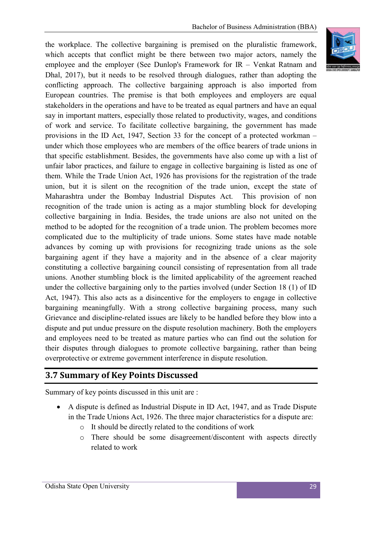the workplace. The collective bargaining is premised on the pluralistic framework, which accepts that conflict might be there between two major actors, namely the employee and the employer (See Dunlop's Framework for IR – Venkat Ratnam and Dhal, 2017), but it needs to be resolved through dialogues, rather than adopting the conflicting approach. The collective bargaining approach is also imported from European countries. The premise is that both employees and employers are equal stakeholders in the operations and have to be treated as equal partners and have an equal say in important matters, especially those related to productivity, wages, and conditions of work and service. To facilitate collective bargaining, the government has made provisions in the ID Act, 1947, Section 33 for the concept of a protected workman – under which those employees who are members of the office bearers of trade unions in that specific establishment. Besides, the governments have also come up with a list of unfair labor practices, and failure to engage in collective bargaining is listed as one of them. While the Trade Union Act, 1926 has provisions for the registration of the trade union, but it is silent on the recognition of the trade union, except the state of Maharashtra under the Bombay Industrial Disputes Act. This provision of non recognition of the trade union is acting as a major stumbling block for developing collective bargaining in India. Besides, the trade unions are also not united on the method to be adopted for the recognition of a trade union. The problem becomes more complicated due to the multiplicity of trade unions. Some states have made notable advances by coming up with provisions for recognizing trade unions as the sole bargaining agent if they have a majority and in the absence of a clear majority constituting a collective bargaining council consisting of representation from all trade unions. Another stumbling block is the limited applicability of the agreement reached under the collective bargaining only to the parties involved (under Section 18 (1) of ID Act, 1947). This also acts as a disincentive for the employers to engage in collective bargaining meaningfully. With a strong collective bargaining process, many such Grievance and discipline-related issues are likely to be handled before they blow into a dispute and put undue pressure on the dispute resolution machinery. Both the employers and employees need to be treated as mature parties who can find out the solution for their disputes through dialogues to promote collective bargaining, rather than being overprotective or extreme government interference in dispute resolution.

#### **3.7 Summary of Key Points Discussed**

Summary of key points discussed in this unit are :

- A dispute is defined as Industrial Dispute in ID Act, 1947, and as Trade Dispute in the Trade Unions Act, 1926. The three major characteristics for a dispute are:
	- o It should be directly related to the conditions of work
	- o There should be some disagreement/discontent with aspects directly related to work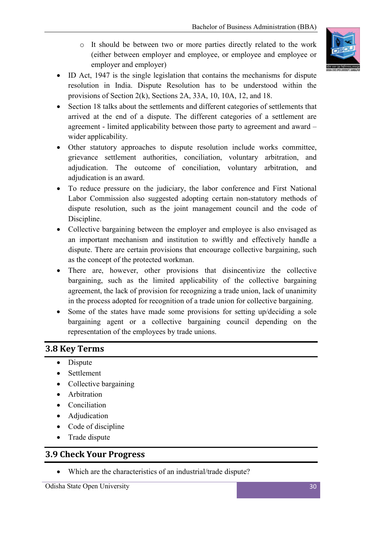o It should be between two or more parties directly related to the work (either between employer and employee, or employee and employee or employer and employer)



- ID Act, 1947 is the single legislation that contains the mechanisms for dispute resolution in India. Dispute Resolution has to be understood within the provisions of Section 2(k), Sections 2A, 33A, 10, 10A, 12, and 18.
- Section 18 talks about the settlements and different categories of settlements that arrived at the end of a dispute. The different categories of a settlement are agreement - limited applicability between those party to agreement and award – wider applicability.
- Other statutory approaches to dispute resolution include works committee, grievance settlement authorities, conciliation, voluntary arbitration, and adjudication. The outcome of conciliation, voluntary arbitration, and adjudication is an award.
- To reduce pressure on the judiciary, the labor conference and First National Labor Commission also suggested adopting certain non-statutory methods of dispute resolution, such as the joint management council and the code of Discipline.
- Collective bargaining between the employer and employee is also envisaged as an important mechanism and institution to swiftly and effectively handle a dispute. There are certain provisions that encourage collective bargaining, such as the concept of the protected workman.
- There are, however, other provisions that disincentivize the collective bargaining, such as the limited applicability of the collective bargaining agreement, the lack of provision for recognizing a trade union, lack of unanimity in the process adopted for recognition of a trade union for collective bargaining.
- Some of the states have made some provisions for setting up/deciding a sole bargaining agent or a collective bargaining council depending on the representation of the employees by trade unions.

#### **3.8 Key Terms**

- Dispute
- Settlement
- Collective bargaining
- Arbitration
- Conciliation
- Adjudication
- Code of discipline
- Trade dispute

#### **3.9 Check Your Progress**

Which are the characteristics of an industrial/trade dispute?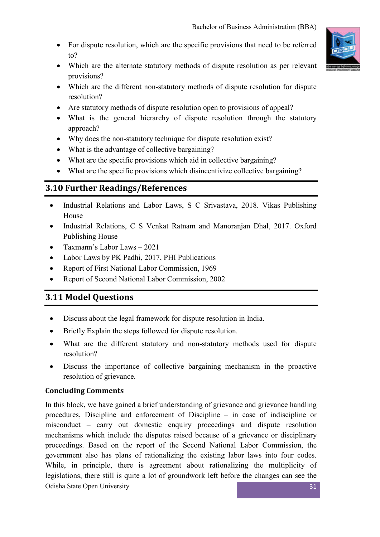- For dispute resolution, which are the specific provisions that need to be referred to?
- Which are the alternate statutory methods of dispute resolution as per relevant provisions?
- Which are the different non-statutory methods of dispute resolution for dispute resolution?
- Are statutory methods of dispute resolution open to provisions of appeal?
- What is the general hierarchy of dispute resolution through the statutory approach?
- Why does the non-statutory technique for dispute resolution exist?
- What is the advantage of collective bargaining?
- What are the specific provisions which aid in collective bargaining?
- What are the specific provisions which disincentivize collective bargaining?

### **3.10 Further Readings/References**

- Industrial Relations and Labor Laws, S C Srivastava, 2018. Vikas Publishing House
- Industrial Relations, C S Venkat Ratnam and Manoranjan Dhal, 2017. Oxford Publishing House
- Taxmann's Labor Laws 2021
- Labor Laws by PK Padhi, 2017, PHI Publications
- Report of First National Labor Commission, 1969
- Report of Second National Labor Commission, 2002

### **3.11 Model Questions**

- Discuss about the legal framework for dispute resolution in India.
- Briefly Explain the steps followed for dispute resolution.
- What are the different statutory and non-statutory methods used for dispute resolution?
- Discuss the importance of collective bargaining mechanism in the proactive resolution of grievance.

#### **Concluding Comments**

In this block, we have gained a brief understanding of grievance and grievance handling procedures, Discipline and enforcement of Discipline – in case of indiscipline or misconduct – carry out domestic enquiry proceedings and dispute resolution mechanisms which include the disputes raised because of a grievance or disciplinary proceedings. Based on the report of the Second National Labor Commission, the government also has plans of rationalizing the existing labor laws into four codes. While, in principle, there is agreement about rationalizing the multiplicity of legislations, there still is quite a lot of groundwork left before the changes can see the